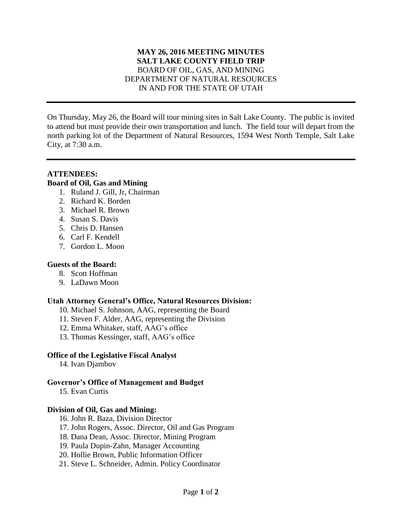### **MAY 26, 2016 MEETING MINUTES SALT LAKE COUNTY FIELD TRIP** BOARD OF OIL, GAS, AND MINING DEPARTMENT OF NATURAL RESOURCES IN AND FOR THE STATE OF UTAH

On Thursday, May 26, the Board will tour mining sites in Salt Lake County. The public is invited to attend but must provide their own transportation and lunch. The field tour will depart from the north parking lot of the Department of Natural Resources, 1594 West North Temple, Salt Lake City, at 7:30 a.m.

# **ATTENDEES:**

# **Board of Oil, Gas and Mining**

- 1. Ruland J. Gill, Jr, Chairman
- 2. Richard K. Borden
- 3. Michael R. Brown
- 4. Susan S. Davis
- 5. Chris D. Hansen
- 6. Carl F. Kendell
- 7. Gordon L. Moon

## **Guests of the Board:**

- 8. Scott Hoffman
- 9. LaDawn Moon

#### **Utah Attorney General's Office, Natural Resources Division:**

- 10. Michael S. Johnson, AAG, representing the Board
- 11. Steven F. Alder, AAG, representing the Division
- 12. Emma Whitaker, staff, AAG's office
- 13. Thomas Kessinger, staff, AAG's office

#### **Office of the Legislative Fiscal Analyst**

14. Ivan Djambov

## **Governor's Office of Management and Budget**

15. Evan Curtis

## **Division of Oil, Gas and Mining:**

- 16. John R. Baza, Division Director
- 17. John Rogers, Assoc. Director, Oil and Gas Program
- 18. Dana Dean, Assoc. Director, Mining Program
- 19. Paula Dupin-Zahn, Manager Accounting
- 20. Hollie Brown, Public Information Officer
- 21. Steve L. Schneider, Admin. Policy Coordinator